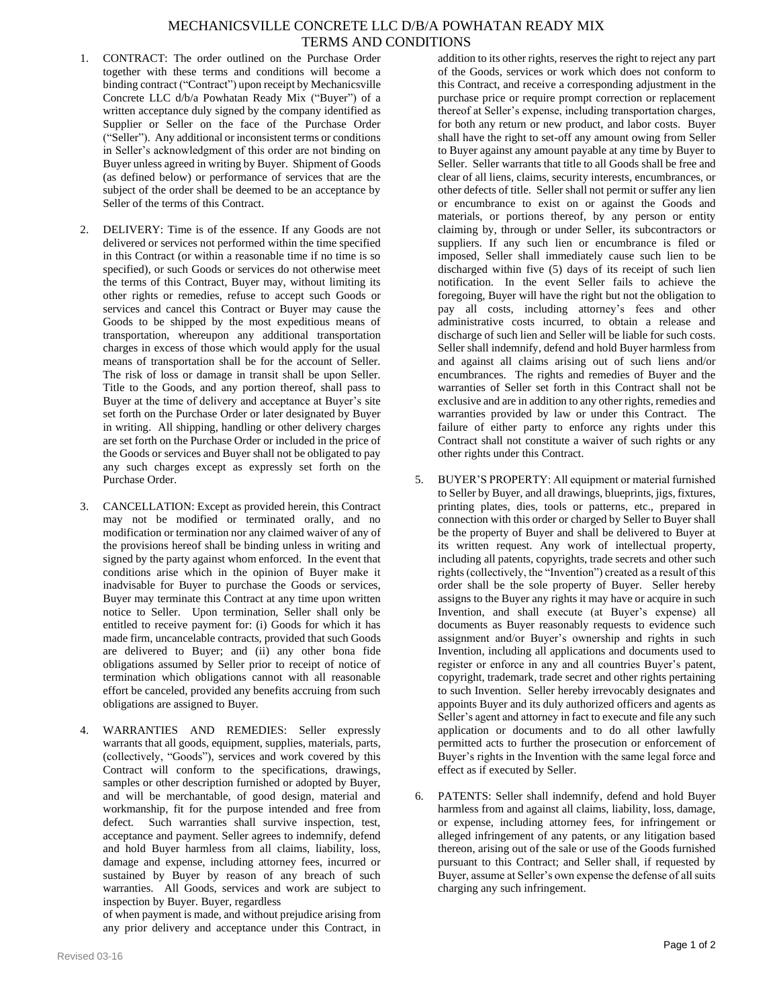## MECHANICSVILLE CONCRETE LLC D/B/A POWHATAN READY MIX TERMS AND CONDITIONS

- 1. CONTRACT: The order outlined on the Purchase Order together with these terms and conditions will become a binding contract ("Contract") upon receipt by Mechanicsville Concrete LLC d/b/a Powhatan Ready Mix ("Buyer") of a written acceptance duly signed by the company identified as Supplier or Seller on the face of the Purchase Order ("Seller"). Any additional or inconsistent terms or conditions in Seller's acknowledgment of this order are not binding on Buyer unless agreed in writing by Buyer. Shipment of Goods (as defined below) or performance of services that are the subject of the order shall be deemed to be an acceptance by Seller of the terms of this Contract.
- 2. DELIVERY: Time is of the essence. If any Goods are not delivered or services not performed within the time specified in this Contract (or within a reasonable time if no time is so specified), or such Goods or services do not otherwise meet the terms of this Contract, Buyer may, without limiting its other rights or remedies, refuse to accept such Goods or services and cancel this Contract or Buyer may cause the Goods to be shipped by the most expeditious means of transportation, whereupon any additional transportation charges in excess of those which would apply for the usual means of transportation shall be for the account of Seller. The risk of loss or damage in transit shall be upon Seller. Title to the Goods, and any portion thereof, shall pass to Buyer at the time of delivery and acceptance at Buyer's site set forth on the Purchase Order or later designated by Buyer in writing. All shipping, handling or other delivery charges are set forth on the Purchase Order or included in the price of the Goods or services and Buyer shall not be obligated to pay any such charges except as expressly set forth on the Purchase Order.
- 3. CANCELLATION: Except as provided herein, this Contract may not be modified or terminated orally, and no modification or termination nor any claimed waiver of any of the provisions hereof shall be binding unless in writing and signed by the party against whom enforced. In the event that conditions arise which in the opinion of Buyer make it inadvisable for Buyer to purchase the Goods or services, Buyer may terminate this Contract at any time upon written notice to Seller. Upon termination, Seller shall only be entitled to receive payment for: (i) Goods for which it has made firm, uncancelable contracts, provided that such Goods are delivered to Buyer; and (ii) any other bona fide obligations assumed by Seller prior to receipt of notice of termination which obligations cannot with all reasonable effort be canceled, provided any benefits accruing from such obligations are assigned to Buyer.
- 4. WARRANTIES AND REMEDIES: Seller expressly warrants that all goods, equipment, supplies, materials, parts, (collectively, "Goods"), services and work covered by this Contract will conform to the specifications, drawings, samples or other description furnished or adopted by Buyer, and will be merchantable, of good design, material and workmanship, fit for the purpose intended and free from defect. Such warranties shall survive inspection, test, acceptance and payment. Seller agrees to indemnify, defend and hold Buyer harmless from all claims, liability, loss, damage and expense, including attorney fees, incurred or sustained by Buyer by reason of any breach of such warranties. All Goods, services and work are subject to inspection by Buyer. Buyer, regardless

of when payment is made, and without prejudice arising from any prior delivery and acceptance under this Contract, in

addition to its other rights, reserves the right to reject any part of the Goods, services or work which does not conform to this Contract, and receive a corresponding adjustment in the purchase price or require prompt correction or replacement thereof at Seller's expense, including transportation charges, for both any return or new product, and labor costs. Buyer shall have the right to set-off any amount owing from Seller to Buyer against any amount payable at any time by Buyer to Seller. Seller warrants that title to all Goods shall be free and clear of all liens, claims, security interests, encumbrances, or other defects of title. Seller shall not permit or suffer any lien or encumbrance to exist on or against the Goods and materials, or portions thereof, by any person or entity claiming by, through or under Seller, its subcontractors or suppliers. If any such lien or encumbrance is filed or imposed, Seller shall immediately cause such lien to be discharged within five (5) days of its receipt of such lien notification. In the event Seller fails to achieve the foregoing, Buyer will have the right but not the obligation to pay all costs, including attorney's fees and other administrative costs incurred, to obtain a release and discharge of such lien and Seller will be liable for such costs. Seller shall indemnify, defend and hold Buyer harmless from and against all claims arising out of such liens and/or encumbrances. The rights and remedies of Buyer and the warranties of Seller set forth in this Contract shall not be exclusive and are in addition to any other rights, remedies and warranties provided by law or under this Contract. The failure of either party to enforce any rights under this Contract shall not constitute a waiver of such rights or any other rights under this Contract.

- 5. BUYER'S PROPERTY: All equipment or material furnished to Seller by Buyer, and all drawings, blueprints, jigs, fixtures, printing plates, dies, tools or patterns, etc., prepared in connection with this order or charged by Seller to Buyer shall be the property of Buyer and shall be delivered to Buyer at its written request. Any work of intellectual property, including all patents, copyrights, trade secrets and other such rights (collectively, the "Invention") created as a result of this order shall be the sole property of Buyer. Seller hereby assigns to the Buyer any rights it may have or acquire in such Invention, and shall execute (at Buyer's expense) all documents as Buyer reasonably requests to evidence such assignment and/or Buyer's ownership and rights in such Invention, including all applications and documents used to register or enforce in any and all countries Buyer's patent, copyright, trademark, trade secret and other rights pertaining to such Invention. Seller hereby irrevocably designates and appoints Buyer and its duly authorized officers and agents as Seller's agent and attorney in fact to execute and file any such application or documents and to do all other lawfully permitted acts to further the prosecution or enforcement of Buyer's rights in the Invention with the same legal force and effect as if executed by Seller.
- 6. PATENTS: Seller shall indemnify, defend and hold Buyer harmless from and against all claims, liability, loss, damage, or expense, including attorney fees, for infringement or alleged infringement of any patents, or any litigation based thereon, arising out of the sale or use of the Goods furnished pursuant to this Contract; and Seller shall, if requested by Buyer, assume at Seller's own expense the defense of all suits charging any such infringement.